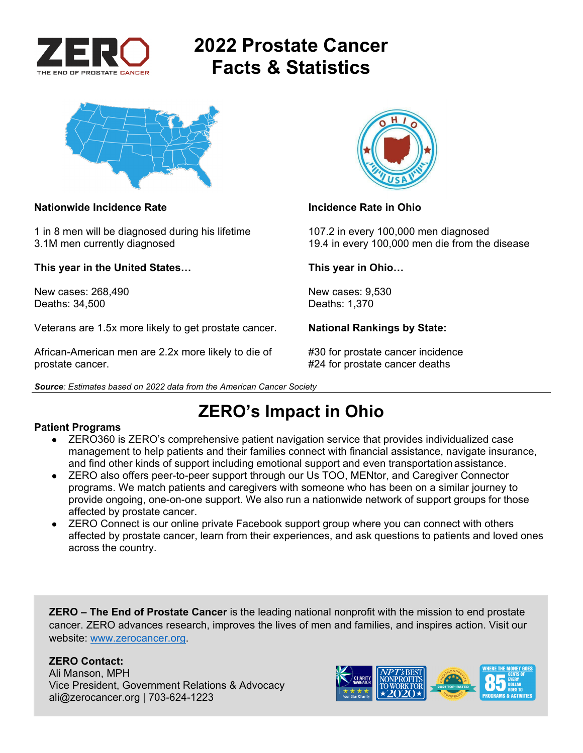

# **2022 Prostate Cancer Facts & Statistics**



### **Nationwide Incidence Rate Incidence Rate in Ohio**

1 in 8 men will be diagnosed during his lifetime 107.2 in every 100,000 men diagnosed

**This year in the United States… This year in Ohio…** 

New cases: 268.490 **New cases: 9,530** Deaths: 34,500 Deaths: 1,370

Veterans are 1.5x more likely to get prostate cancer. **National Rankings by State:** 

African-American men are 2.2x more likely to die of #30 for prostate cancer incidence prostate cancer. #24 for prostate cancer deaths

*Source: Estimates based on 2022 data from the American Cancer Society* 



3.1M men currently diagnosed 19.4 in every 100,000 men die from the disease

## **ZERO's Impact in Ohio**

### **Patient Programs**

- ZERO360 is ZERO's comprehensive patient navigation service that provides individualized case management to help patients and their families connect with financial assistance, navigate insurance, and find other kinds of support including emotional support and even transportation assistance.
- ZERO also offers peer-to-peer support through our Us TOO, MENtor, and Caregiver Connector programs. We match patients and caregivers with someone who has been on a similar journey to provide ongoing, one-on-one support. We also run a nationwide network of support groups for those affected by prostate cancer.
- ZERO Connect is our online private Facebook support group where you can connect with others affected by prostate cancer, learn from their experiences, and ask questions to patients and loved ones across the country.

**ZERO – The End of Prostate Cancer** is the leading national nonprofit with the mission to end prostate cancer. ZERO advances research, improves the lives of men and families, and inspires action. Visit our website: www.zerocancer.org.

### **ZERO Contact:**

Ali Manson, MPH Vice President, Government Relations & Advocacy ali@zerocancer.org | 703-624-1223